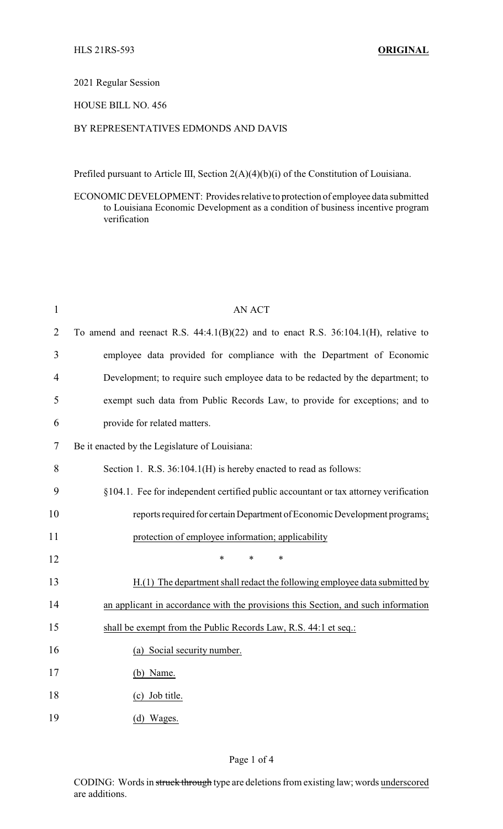### 2021 Regular Session

# HOUSE BILL NO. 456

# BY REPRESENTATIVES EDMONDS AND DAVIS

Prefiled pursuant to Article III, Section 2(A)(4)(b)(i) of the Constitution of Louisiana.

ECONOMIC DEVELOPMENT: Provides relative to protection of employee data submitted to Louisiana Economic Development as a condition of business incentive program verification

| $\mathbf{1}$   | <b>AN ACT</b>                                                                           |
|----------------|-----------------------------------------------------------------------------------------|
| $\overline{2}$ | To amend and reenact R.S. $44:4.1(B)(22)$ and to enact R.S. $36:104.1(H)$ , relative to |
| 3              | employee data provided for compliance with the Department of Economic                   |
| 4              | Development; to require such employee data to be redacted by the department; to         |
| 5              | exempt such data from Public Records Law, to provide for exceptions; and to             |
| 6              | provide for related matters.                                                            |
| 7              | Be it enacted by the Legislature of Louisiana:                                          |
| 8              | Section 1. R.S. 36:104.1(H) is hereby enacted to read as follows:                       |
| 9              | §104.1. Fee for independent certified public accountant or tax attorney verification    |
| 10             | reports required for certain Department of Economic Development programs;               |
| 11             | protection of employee information; applicability                                       |
| 12             | *<br>*<br>*                                                                             |
| 13             | H.(1) The department shall redact the following employee data submitted by              |
| 14             | an applicant in accordance with the provisions this Section, and such information       |
| 15             | shall be exempt from the Public Records Law, R.S. 44:1 et seq.:                         |
| 16             | (a) Social security number.                                                             |
| 17             | $(b)$ Name.                                                                             |
| 18             | (c) Job title.                                                                          |
| 19             | (d) Wages.                                                                              |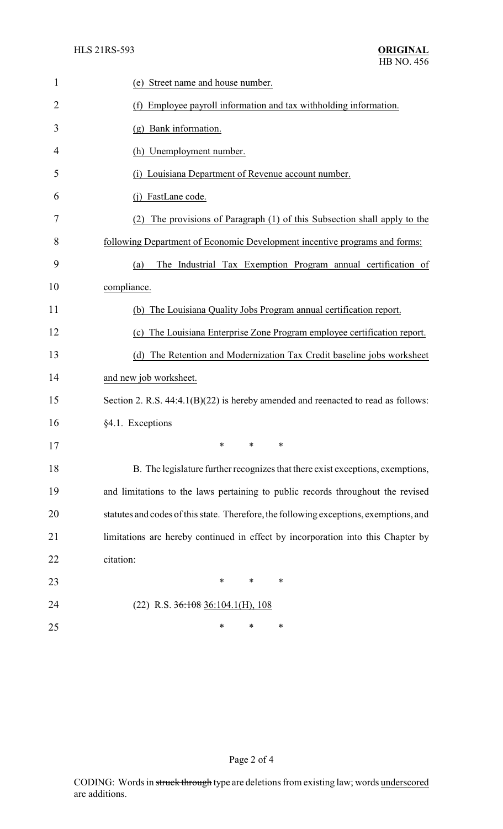| 1              | (e) Street name and house number.                                                      |
|----------------|----------------------------------------------------------------------------------------|
| $\overline{2}$ | (f) Employee payroll information and tax withholding information.                      |
| 3              | (g) Bank information.                                                                  |
| 4              | (h) Unemployment number.                                                               |
| 5              | Louisiana Department of Revenue account number.<br>(1)                                 |
| 6              | FastLane code.<br>(i)                                                                  |
| 7              | The provisions of Paragraph (1) of this Subsection shall apply to the                  |
| 8              | following Department of Economic Development incentive programs and forms:             |
| 9              | The Industrial Tax Exemption Program annual certification of<br>(a)                    |
| 10             | compliance.                                                                            |
| 11             | (b) The Louisiana Quality Jobs Program annual certification report.                    |
| 12             | (c) The Louisiana Enterprise Zone Program employee certification report.               |
| 13             | (d) The Retention and Modernization Tax Credit baseline jobs worksheet                 |
| 14             | and new job worksheet.                                                                 |
| 15             | Section 2. R.S. 44:4.1(B)(22) is hereby amended and reenacted to read as follows:      |
| 16             | §4.1. Exceptions                                                                       |
| 17             | $*$ $*$ $*$                                                                            |
| 18             | B. The legislature further recognizes that there exist exceptions, exemptions,         |
| 19             | and limitations to the laws pertaining to public records throughout the revised        |
| 20             | statutes and codes of this state. Therefore, the following exceptions, exemptions, and |
| 21             | limitations are hereby continued in effect by incorporation into this Chapter by       |
| 22             | citation:                                                                              |
| 23             | $\ast$<br>$\ast$<br>∗                                                                  |
| 24             | $(22)$ R.S. $36:108$ 36:104.1(H), 108                                                  |
| 25             | ∗<br>∗<br>∗                                                                            |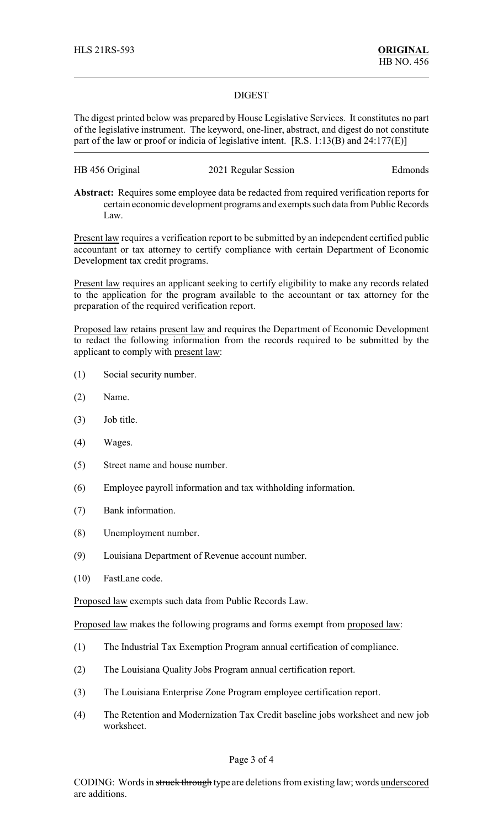#### DIGEST

The digest printed below was prepared by House Legislative Services. It constitutes no part of the legislative instrument. The keyword, one-liner, abstract, and digest do not constitute part of the law or proof or indicia of legislative intent. [R.S. 1:13(B) and 24:177(E)]

| HB 456 Original | 2021 Regular Session | Edmonds |
|-----------------|----------------------|---------|
|-----------------|----------------------|---------|

**Abstract:** Requires some employee data be redacted from required verification reports for certain economic development programs and exempts such data from Public Records Law.

Present law requires a verification report to be submitted by an independent certified public accountant or tax attorney to certify compliance with certain Department of Economic Development tax credit programs.

Present law requires an applicant seeking to certify eligibility to make any records related to the application for the program available to the accountant or tax attorney for the preparation of the required verification report.

Proposed law retains present law and requires the Department of Economic Development to redact the following information from the records required to be submitted by the applicant to comply with present law:

- (1) Social security number.
- (2) Name.
- (3) Job title.
- (4) Wages.
- (5) Street name and house number.
- (6) Employee payroll information and tax withholding information.
- (7) Bank information.
- (8) Unemployment number.
- (9) Louisiana Department of Revenue account number.
- (10) FastLane code.

Proposed law exempts such data from Public Records Law.

Proposed law makes the following programs and forms exempt from proposed law:

- (1) The Industrial Tax Exemption Program annual certification of compliance.
- (2) The Louisiana Quality Jobs Program annual certification report.
- (3) The Louisiana Enterprise Zone Program employee certification report.
- (4) The Retention and Modernization Tax Credit baseline jobs worksheet and new job worksheet.

#### Page 3 of 4